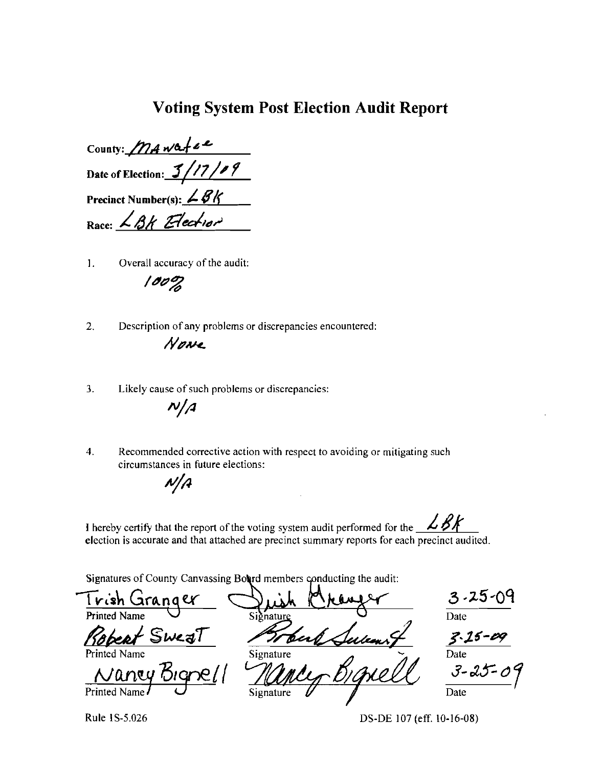### **Voting System Post Election Audit Report**

County: Mawater Date of Election:  $3/17/9$ Precinct Number(s):  $\angle$  BK Race: LBK Election

Overall accuracy of the audit:  $1.$ 

 $100%$ 

 $2.$ Description of any problems or discrepancies encountered:

Nowe

 $3<sub>1</sub>$ Likely cause of such problems or discrepancies:  $N/A$ 

Recommended corrective action with respect to avoiding or mitigating such  $\overline{4}$ . circumstances in future elections:

 $N/A$ 

I hereby certify that the report of the voting system audit performed for the  $\angle$  BK election is accurate and that attached are precinct summary reports for each precinct audited.

Signatures of County Canvassing Bourd members conducting the audit:

| Trish Granger       |           | $3.25 - 09$   |
|---------------------|-----------|---------------|
| <b>Printed Name</b> | Signature | Date          |
| Rabert Sweat        |           | $3.15 - 09$   |
| Printed Name        | Signature | Date          |
| 1900'<br>Nancy      |           | $3 - 25 - 09$ |
| Printed Name        | Signature | Date          |

Rule 1S-5.026

DS-DE 107 (eff. 10-16-08)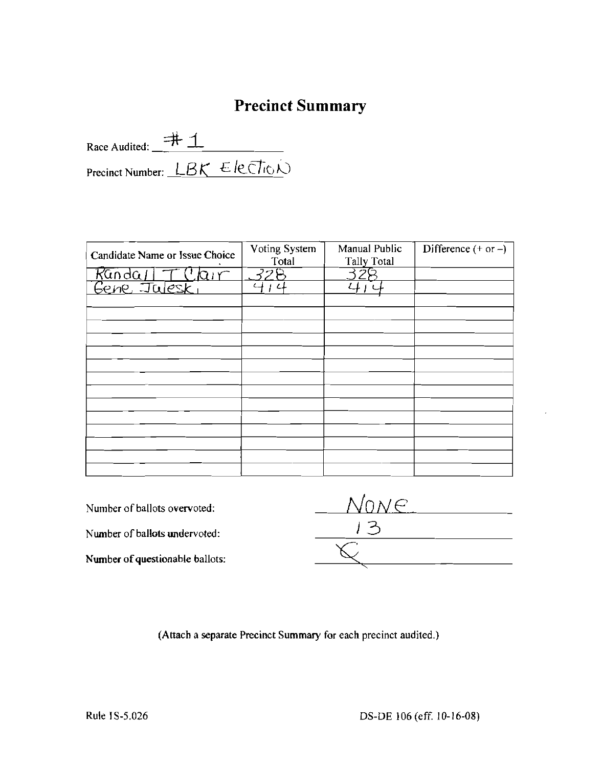## **Precinct Summary**

Race Audited:  $\frac{+1}{+}$  1 Precinct Number: LBK Election

| Candidate Name or Issue Choice | Voting System<br>Total | Manual Public<br><b>Tally Total</b> | Difference $(+ or -)$ |
|--------------------------------|------------------------|-------------------------------------|-----------------------|
|                                | <i>32</i> P            |                                     |                       |
| Randall T Clair                | L.                     |                                     |                       |
|                                |                        |                                     |                       |
|                                |                        |                                     |                       |
|                                |                        |                                     |                       |
|                                |                        |                                     |                       |
|                                |                        |                                     |                       |
|                                |                        |                                     |                       |
|                                |                        |                                     |                       |
|                                |                        |                                     |                       |
|                                |                        |                                     |                       |
|                                |                        |                                     |                       |
|                                |                        |                                     |                       |
|                                |                        |                                     |                       |
|                                |                        |                                     |                       |

Number of ballots overvoted: *IVONE*  Number of ballots undervoted:<br>
Number of questionable ballots: Number of questionable ballots:

(Attach a separate Precinct Summary for each precinct audited,)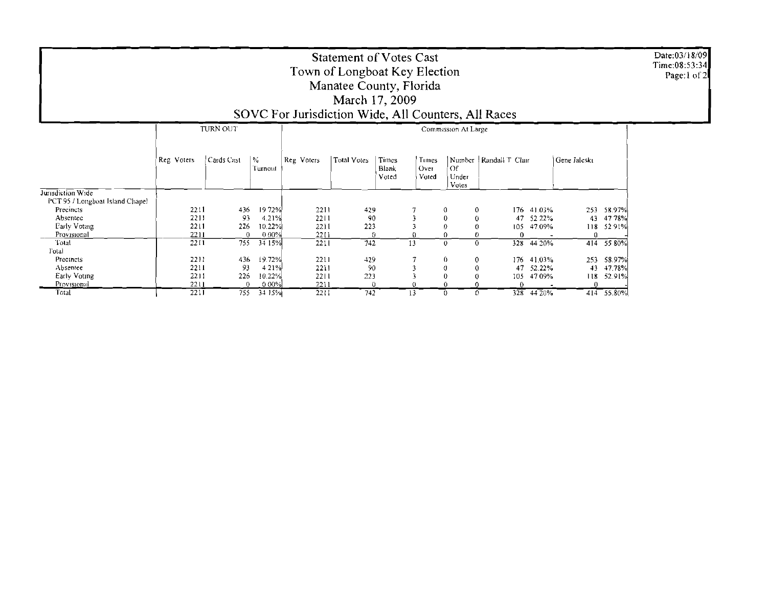| Date:03/18/09 |
|---------------|
| Time:08:53:34 |
| Page:1 of 2   |

## **Statement of Votes Cast** Town of Longboat Key Election<br>Manatee County, Florida March 17, 2009

## SOVC For Jurisdiction Wide, All Counters, All Races

|                                 | TURN OUT   |            |              | Commission At Large |                    |                                |                        |                              |                           |      |              |              |            |
|---------------------------------|------------|------------|--------------|---------------------|--------------------|--------------------------------|------------------------|------------------------------|---------------------------|------|--------------|--------------|------------|
|                                 | Reg Voters | Cards Cast | %<br>Turnout | Reg Voters          | <b>Total Votes</b> | Times<br><b>Blank</b><br>Voted | Times<br>Over<br>Voted | 'Of<br>Under<br><b>Votes</b> | Number   Randall T. Clair |      |              | Gene Jaleski |            |
| Jurisdiction Wide               |            |            |              |                     |                    |                                |                        |                              |                           |      |              |              |            |
| PCT 95 / Longboat Island Chapel |            |            |              |                     |                    |                                |                        |                              |                           |      |              |              |            |
| Precincts                       | 2211       | 436        | 1972%        | 2211                | 429                |                                |                        | $\theta$                     | 0                         | 176. | 41.03%       | 253          | 58.97%     |
| Absentec                        | 2211       | 93         | 4.21%        | 2211                | 90                 |                                |                        | 0                            |                           |      | 47 52 22%    | 43           | 47 78%     |
| Early Voting                    | 2211       | 226        | 10.22%       | 2211                | 223                |                                |                        |                              |                           | 105  | 47.09%       | 118          | 5291%      |
| Provisional                     | 2211       | $\bf{0}$   | 0.00%        | 2211                | 0                  |                                |                        |                              |                           | 0    |              |              |            |
| Total                           | 2211       | 755        | 34 15%       | 2211                | 742                |                                | 13                     | $\mathbf{0}$                 | $\Omega$                  | 328  | 44 20%       | 414          | 55 80%     |
| Fotal                           |            |            |              |                     |                    |                                |                        |                              |                           |      |              |              |            |
| Precincts                       | 2211       | 436        | 19.72%       | 2211                | 429                |                                |                        | 0                            |                           | 176  | 41.03%       | 253          | 58.97%     |
| Absentee                        | 2211       | 93         | 4 21%        | 2211                | 90                 |                                |                        | Ü                            |                           | 47   | 52.22%       | 43           | 47.78%     |
| Early Voting                    | 2211       | 226        | 10.22%       | 2211                | 223                |                                |                        |                              |                           | 105  | 47 09%       | 118.         | 52.91%     |
| Provisional                     | 2211       | $\Omega$   | 000%         | 2211                | 0                  |                                |                        |                              |                           | 0.   |              |              |            |
| Total                           | 2211       | 755        | 34 15%       | 2211                | 742                |                                | 13                     |                              |                           |      | $328$ 44 20% |              | 414 55.80% |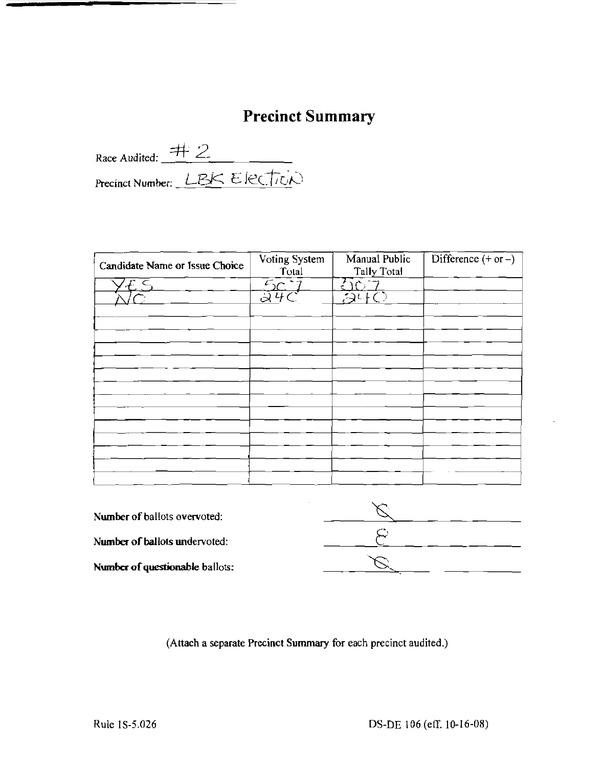# **Precinct Summary**

Race Audited: #2<br>Precinct Number: LBK Election

| Candidate Name or Issue Choice | Voting System<br>Total | Manual Public<br><b>Tally Total</b> | Difference $(+ or -)$ |
|--------------------------------|------------------------|-------------------------------------|-----------------------|
| $'\mathcal{E} \subseteq$       | $\frac{5C}{24C}$       | $\bigcirc$ 7                        |                       |
|                                |                        | $\overline{\mathcal{A}^{c+}O}$      |                       |
|                                |                        |                                     |                       |
|                                |                        |                                     |                       |
|                                |                        |                                     |                       |
|                                |                        |                                     |                       |
|                                |                        |                                     |                       |
|                                |                        |                                     |                       |
|                                |                        |                                     |                       |
|                                |                        |                                     |                       |
|                                |                        |                                     |                       |
|                                |                        |                                     |                       |
|                                |                        |                                     |                       |
|                                |                        |                                     |                       |
|                                |                        |                                     |                       |

| <b>Number of ballots overvoted:</b> |  |
|-------------------------------------|--|
| Number of ballots undervoted:       |  |
| Number of questionable ballots:     |  |

(Attach a separate Precinct Summary for each precinct audited.)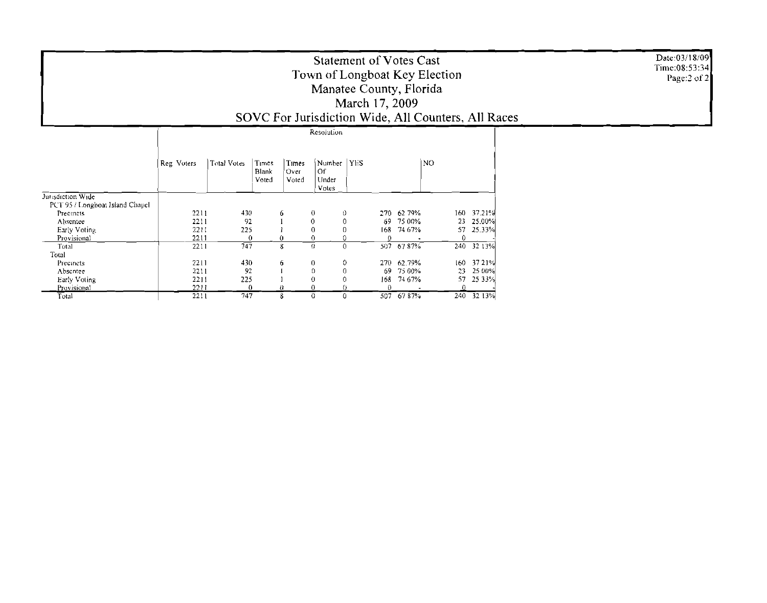| <b>Statement of Votes Cast</b><br>Town of Longboat Key Election<br>Manatee County, Florida<br>March 17, 2009<br>SOVC For Jurisdiction Wide, All Counters, All Races |                   |             |                         |                          |                                      |                               | Date:03/18/09<br>Time:08:53:34<br>Page: $2$ of $2$ |            |  |
|---------------------------------------------------------------------------------------------------------------------------------------------------------------------|-------------------|-------------|-------------------------|--------------------------|--------------------------------------|-------------------------------|----------------------------------------------------|------------|--|
|                                                                                                                                                                     |                   |             |                         |                          | Resolution                           |                               |                                                    |            |  |
|                                                                                                                                                                     | Reg Voters        | Total Votes | Times<br>Blank<br>Voted | Times<br>'Over<br>Voted  | Number   YES<br>Of<br>Under<br>Votes |                               | N <sub>O</sub>                                     |            |  |
| Jurisdiction Wide                                                                                                                                                   |                   |             |                         |                          |                                      |                               |                                                    |            |  |
| PCT 95 / Longboat Island Chapel                                                                                                                                     |                   |             |                         |                          |                                      |                               |                                                    |            |  |
| Precincts                                                                                                                                                           | 2211              | 430         |                         |                          |                                      | 62 79%<br>270                 |                                                    | 160 37.21% |  |
| Absentee                                                                                                                                                            | 2211              | 92          |                         | $\Omega$                 |                                      | 75 00%<br>69                  |                                                    | 23 25.00%  |  |
| Early Voting                                                                                                                                                        | 2211              | 225         |                         |                          |                                      | 74 67%<br>168                 | 57                                                 | 25.33%     |  |
| Provisional                                                                                                                                                         | 2211              |             | 8                       | $\mathbf{0}$<br>$\Omega$ | $\Omega$                             |                               | 0                                                  |            |  |
| Total                                                                                                                                                               | 2211              | 747         |                         |                          |                                      | 507 67 87%                    |                                                    | 240 32 13% |  |
| Total                                                                                                                                                               |                   |             |                         |                          |                                      |                               |                                                    | 3721%      |  |
| Precincts                                                                                                                                                           | 2211              | 430         |                         |                          | 0                                    | 62.79%<br>270<br>69<br>75 00% | 160 <sub>1</sub><br>23                             | 25 00%     |  |
| Absentee                                                                                                                                                            | 2211<br>2211      | 92<br>225   |                         |                          |                                      | 74 67%<br>168                 | 57                                                 | 25 3 3 %   |  |
| Early Voting<br>Provisional                                                                                                                                         | 2211              |             |                         |                          |                                      |                               |                                                    |            |  |
| Total                                                                                                                                                               | $\overline{2211}$ | 747         |                         | 0                        | 0                                    | $\overline{507}$ 67 87%       |                                                    | 240 32 13% |  |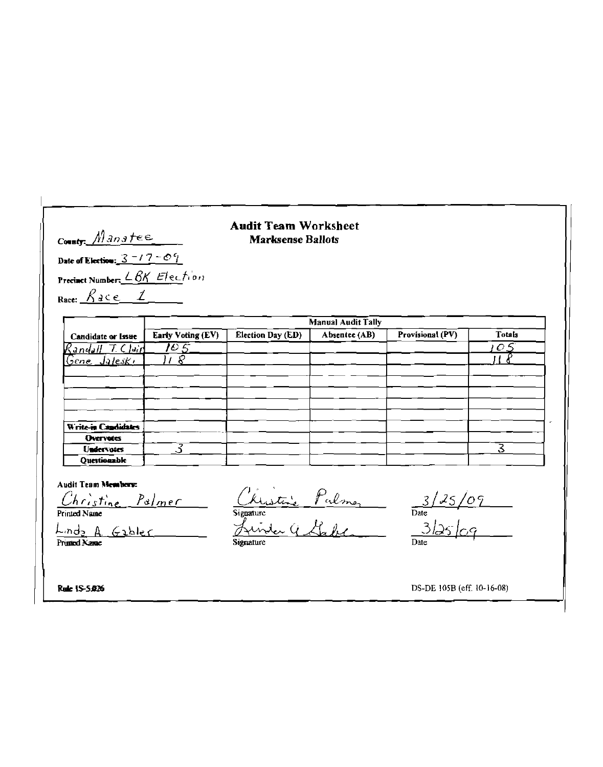#### **Audit Team Worksheet Marksense Ballots**

County Manatee Date of Election:  $3 - 17 - 09$ Precinct Number: LBK Election Race:  $\frac{\beta \alpha c \epsilon}{\beta \alpha \epsilon}$ 

|                           | <b>Manual Audit Tally</b> |                   |               |                  |               |  |  |  |  |  |
|---------------------------|---------------------------|-------------------|---------------|------------------|---------------|--|--|--|--|--|
| <b>Candidate or Issue</b> | Early Voting (EV)         | Election Day (ED) | Absentee (AB) | Provisional (PV) | <b>Totals</b> |  |  |  |  |  |
| $R$ andall $7$ Clair      | IO 5.                     |                   |               |                  | $O$ $\leq$    |  |  |  |  |  |
| <u>Gene Jaleski</u>       | ₽                         |                   |               |                  |               |  |  |  |  |  |
|                           |                           |                   |               |                  |               |  |  |  |  |  |
|                           |                           |                   |               |                  |               |  |  |  |  |  |
|                           |                           |                   |               |                  |               |  |  |  |  |  |
|                           |                           |                   |               |                  |               |  |  |  |  |  |
| Write-in Candidates       |                           |                   |               |                  |               |  |  |  |  |  |
| <b>Overvotes</b>          |                           |                   |               |                  |               |  |  |  |  |  |
| <b>Undervotes</b>         |                           |                   |               |                  |               |  |  |  |  |  |
| Ouestionable              |                           |                   |               |                  |               |  |  |  |  |  |

Linda A Gabler

Audit Team Nembers<br>
Christine Palmer<br>
Linds A. Gabler<br>
Linds A. Gabler<br>
Signature<br>
Avinde Gabler<br>
Stadte Bate<br>
Date<br>
Date

Rule IS-5.026

DS-DE 105B (eff. 10-16-08)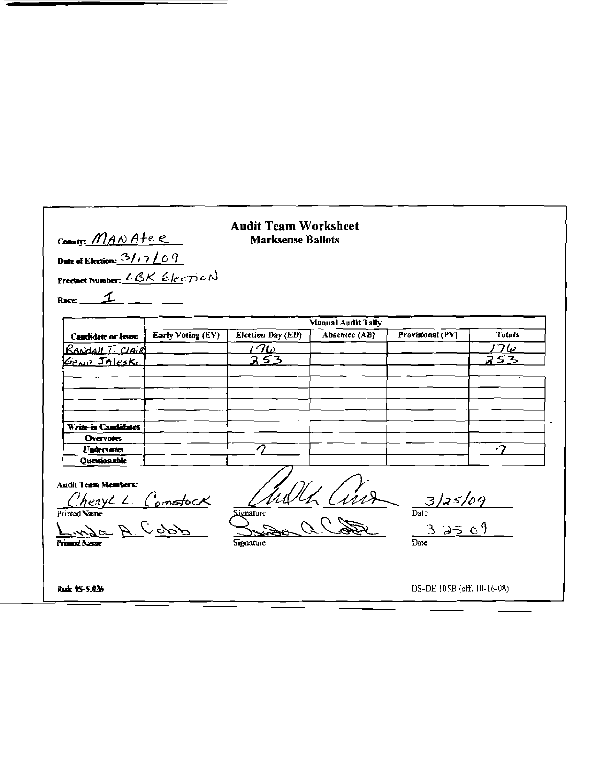#### **Audit Team Worksheet** County: MANAtee **Marksense Ballots** Date of Election: 3/17/09 Precinct Number: LBK Election Race:  $\mathcal I$ **Manual Audit Tally Early Voting (EV)** Election Day (ED) Absentee (AB) Provisional (PV) **Totals Candidate or Issue**  $176$  $\frac{170}{353}$ RANDALL T. CLAIR 253 Genp JALESKi Write-in Candidates **Overvotes**  $\overline{\mathcal{Q}}$  $\cdot$ Undervotes Oucstionable Audit Team Members: Mh Cinz  $\frac{3/25/09}{\text{Date}}$ <br> $\frac{3}{\text{Date}}$ ChezyLL Comstock **Signature** A. Cobb Signature

Rule 15-5.026

DS-DE 105B (eff. 10-16-08)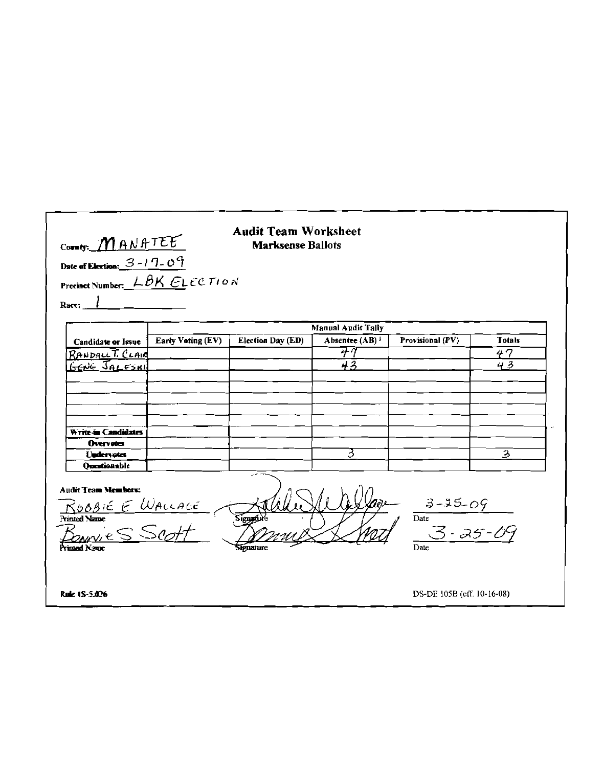| County: MANATEE<br>Date of Election: $\frac{3-1}{1}$ O <sup>c</sup>                              |                                      | <b>Audit Team Worksheet</b><br><b>Marksense Ballots</b> |                                   |                                        |               |
|--------------------------------------------------------------------------------------------------|--------------------------------------|---------------------------------------------------------|-----------------------------------|----------------------------------------|---------------|
|                                                                                                  | Precinct Number: $L\beta K$ ELECTION |                                                         |                                   |                                        |               |
|                                                                                                  |                                      |                                                         |                                   |                                        |               |
| Race:                                                                                            |                                      |                                                         |                                   |                                        |               |
|                                                                                                  |                                      |                                                         | <b>Manual Audit Tally</b>         |                                        |               |
| Candidate or Issue                                                                               | Early Voting (EV)                    | <b>Election Day (ED)</b>                                | Absentee (AB) <sup>1</sup>        | Provisional (PV)                       | <b>Totals</b> |
| $R$ ANDALL $\overline{L}$ CLAIC                                                                  |                                      |                                                         | $\overline{\tau} \overline{\tau}$ |                                        | 47            |
| GENE JALESKI                                                                                     |                                      |                                                         | 43                                |                                        | 43            |
|                                                                                                  |                                      |                                                         |                                   |                                        |               |
|                                                                                                  |                                      |                                                         |                                   |                                        |               |
|                                                                                                  |                                      |                                                         |                                   |                                        |               |
|                                                                                                  |                                      |                                                         |                                   |                                        |               |
| Write-in Candidates                                                                              |                                      |                                                         |                                   |                                        |               |
| Overvotes                                                                                        |                                      |                                                         |                                   |                                        |               |
| <b>Undervotes</b>                                                                                |                                      |                                                         | 3                                 |                                        | 3             |
| <b>Questionable</b>                                                                              |                                      |                                                         |                                   |                                        |               |
| <b>Audit Team Members:</b><br>RUBBIE E WALLACE<br>Printed Name<br>POANYLES SCOFF<br>Printed Name |                                      | Siens<br>Signature                                      |                                   | $3-35-09$<br>Date<br>$3-35-09$<br>Date |               |
| Rule 15-5.026                                                                                    |                                      |                                                         |                                   | DS-DE 105B (eff. 10-16-08)             |               |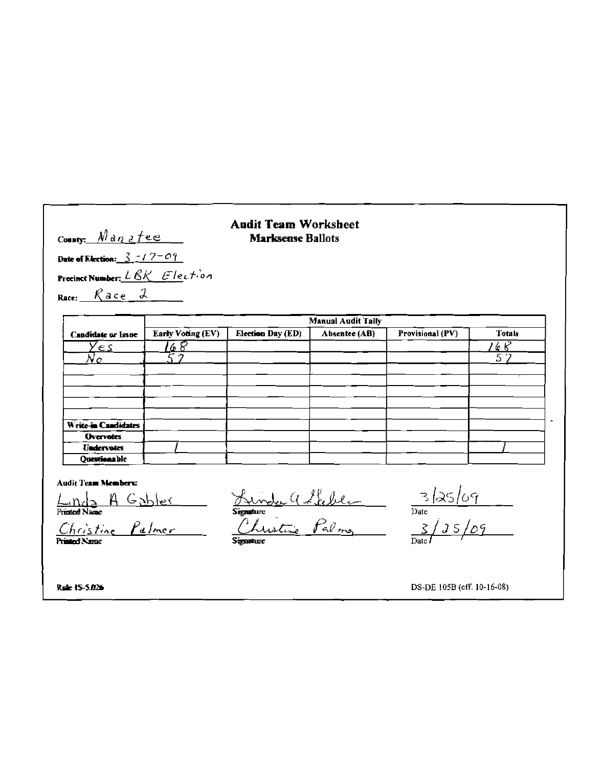#### **Audit Team Worksheet Marksense Ballots**

County: Nanetee

Date of Election:  $3 + 7 - 07$ Precinct Number: LBK Election Race:  $R$  ace  $\lambda$ 

**Manual Audit Tally** Early Voting (EV) Candidate or Issue Election Day (ED) Absentee (AB) Provisional (PV) **Totals**  $\overline{\phantom{a}^{\prime}\mathcal{C}}$ T6 8  $\overline{\gamma}$ es  $\overline{\sigma}$  $\mathcal{N}_{\Omega}$  $\overline{a}$ Write-in Candidates **Overvotes** Undervotes Ouestions ble

**Audit Team Members:** 

France Name Palmer Signature (1 febber 13/25/09

Rule 15-5.026

DS-DE 105B (eff. 10-16-08)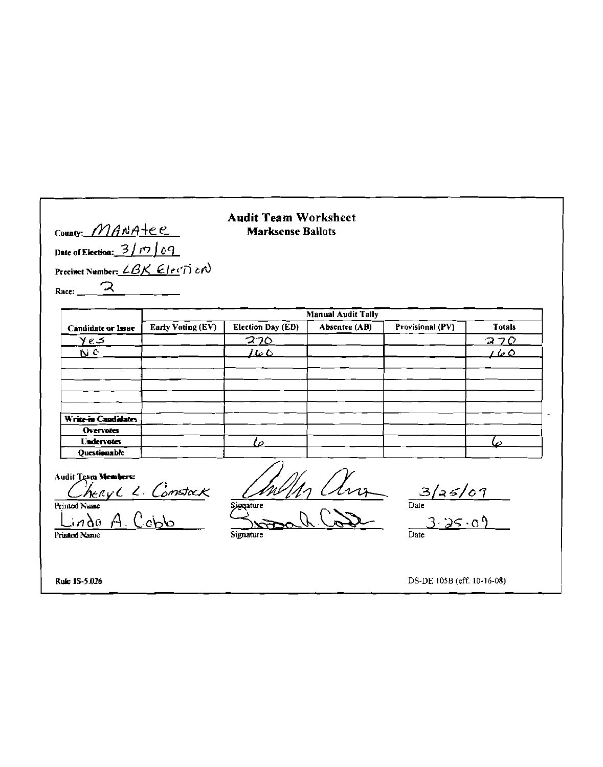### **Audit Team Worksheet Marksense Ballots**

County: MANAtee Date of Election:  $\frac{3/17}{69}$ Precinct Number:  $\angle BK$  Election ス Race:

| Candidate or Issue     | <b>Manual Audit Tally</b> |                          |               |                  |               |  |  |  |  |  |
|------------------------|---------------------------|--------------------------|---------------|------------------|---------------|--|--|--|--|--|
|                        | <b>Early Voting (EV)</b>  | <b>Election Day (ED)</b> | Absentee (AB) | Provisional (PV) | <b>Totals</b> |  |  |  |  |  |
| $y \, \epsilon$ $\leq$ |                           | 270                      |               |                  | 270           |  |  |  |  |  |
| $\overline{D}$         |                           | 160                      |               |                  | 160           |  |  |  |  |  |
|                        |                           |                          |               |                  |               |  |  |  |  |  |
|                        |                           |                          |               |                  |               |  |  |  |  |  |
|                        |                           |                          |               |                  |               |  |  |  |  |  |
|                        |                           |                          |               |                  |               |  |  |  |  |  |
| Write-in Candidates    |                           |                          |               |                  |               |  |  |  |  |  |
| <b>Overvotes</b>       |                           |                          |               |                  |               |  |  |  |  |  |
| <b>Undervotes</b>      |                           | ם '                      |               |                  |               |  |  |  |  |  |
| <b>Ouestionable</b>    |                           |                          |               |                  |               |  |  |  |  |  |

Audit Team Members:

hery L. Constack Printed Name  $C<sub>cb</sub>b$ Lindo  $A_{-}$ 

 $\frac{lnh}{\theta}$   $\frac{1}{\theta}$   $\frac{3}{\theta}$   $\frac{3}{\theta}$ Signature

 $\mathcal{R}$ 

 $\overline{Date}$ 

Printed Name

Signature

DS-DE 105B (eff. 10-16-08)

Rule 1S-5.026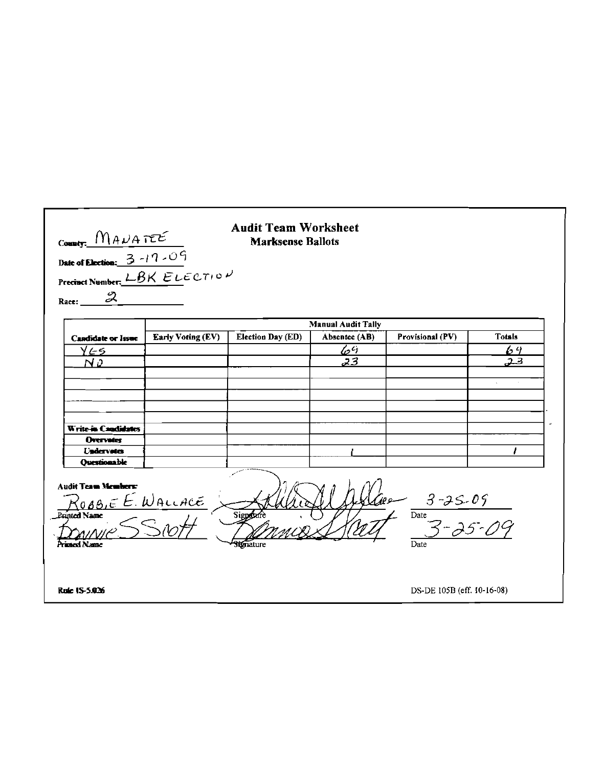| County: $M_A \mu A T E E$<br>Date of Election: $3 - 17 - 09$<br>Precinct Number: $LBK$ ELECTION<br>Race: $2$                                                                              |                          | <b>Audit Team Worksheet</b><br><b>Marksense Ballots</b> |                           |                            |               |  |
|-------------------------------------------------------------------------------------------------------------------------------------------------------------------------------------------|--------------------------|---------------------------------------------------------|---------------------------|----------------------------|---------------|--|
|                                                                                                                                                                                           |                          |                                                         | <b>Manual Audit Tally</b> |                            |               |  |
| <b>Candidate or Issue</b>                                                                                                                                                                 | <b>Early Voting (EV)</b> | <b>Election Day (ED)</b>                                | Absentee (AB)             | Provisional (PV)           | <b>Totals</b> |  |
| $Y \in 5$                                                                                                                                                                                 |                          |                                                         | $\mathscr{L}^\mathcal{L}$ |                            | 64            |  |
| N0                                                                                                                                                                                        |                          |                                                         | 23                        |                            | 23            |  |
|                                                                                                                                                                                           |                          |                                                         |                           |                            |               |  |
|                                                                                                                                                                                           |                          |                                                         |                           |                            |               |  |
|                                                                                                                                                                                           |                          |                                                         |                           |                            |               |  |
|                                                                                                                                                                                           |                          |                                                         |                           |                            |               |  |
|                                                                                                                                                                                           |                          |                                                         |                           |                            |               |  |
| Write-in-Candidates                                                                                                                                                                       |                          |                                                         |                           |                            |               |  |
| <b>Overvotes</b><br><b>Undervates</b>                                                                                                                                                     |                          |                                                         |                           |                            |               |  |
| <b>Ourstionable</b>                                                                                                                                                                       |                          |                                                         |                           |                            |               |  |
| <b>Audit Team Members:</b><br>$\frac{200}{4}$ $\frac{3 - 35.09}{3 - 35.6}$<br>$R$ 080, $\in E$ . WALLACE<br>Signature<br><b>Printed Name</b><br>Printend Name<br><b>Stenature</b><br>Date |                          |                                                         |                           |                            |               |  |
| Rule 15-5.026                                                                                                                                                                             |                          |                                                         |                           | DS-DE 105B (eff. 10-16-08) |               |  |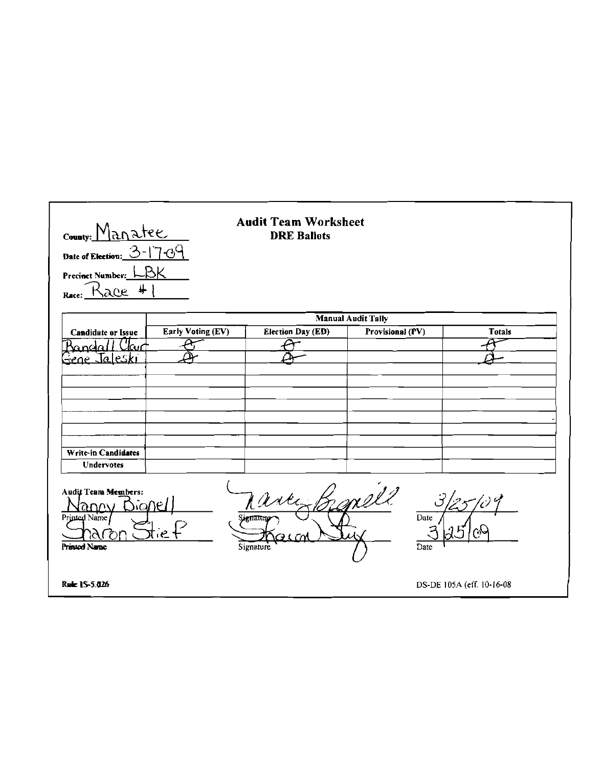| County: Manatee<br>Date of Election: $O-1$<br>Precinct Number:     | $\pm$ ୦ $\theta$<br>lSК | <b>Audit Team Worksheet</b><br><b>DRE Ballots</b> |                           |                           |
|--------------------------------------------------------------------|-------------------------|---------------------------------------------------|---------------------------|---------------------------|
| $\ddot{}$<br>Kace<br>Race:                                         |                         |                                                   |                           |                           |
|                                                                    |                         |                                                   | <b>Manual Audit Tally</b> |                           |
| <b>Candidate or Issue</b>                                          | Early Voting (EV)       | <b>Election Day (ED)</b>                          | Provisional (PV)          | <b>Totals</b>             |
| Mandia I<br>Jaleski                                                |                         |                                                   |                           |                           |
| ۔ عصفت                                                             |                         |                                                   |                           |                           |
|                                                                    |                         |                                                   |                           |                           |
|                                                                    |                         |                                                   |                           |                           |
|                                                                    |                         |                                                   |                           |                           |
|                                                                    |                         |                                                   |                           |                           |
| Write-in Candidates                                                |                         |                                                   |                           |                           |
| Undervotes                                                         |                         |                                                   |                           |                           |
| Audit Team Members:<br>anew<br>Printed Name<br><b>Printed Name</b> | ∆े∆∩€<br>ie.            | arti<br>µgπaτur<br>Signature                      | and 1'<br>Date<br>Date    | كسين                      |
| Rule 15-5.026                                                      |                         |                                                   |                           | DS-DE 105A (eff. 10-16-08 |